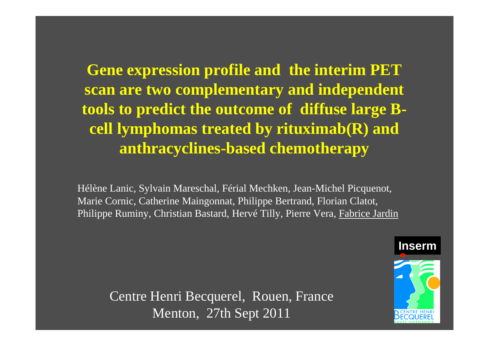**Gene expression profile and the interim PET scan are two complementary and independent tools to predict the outcome of diffuse large B cell lymphomas treated by rituximab(R) and anthracyclines-based chemotherapy**

Hélène Lanic, Sylvain Mareschal, Férial Mechken, Jean-Michel Picquenot, Marie Cornic, Catherine Maingonnat, Philippe Bertrand, Florian Clatot, Philippe Ruminy, Christian Bastard, Hervé Tilly, Pierre Vera, Fabrice Jardin

Centre Henri Becquerel, Rouen, France Menton, 27th Sept 2011

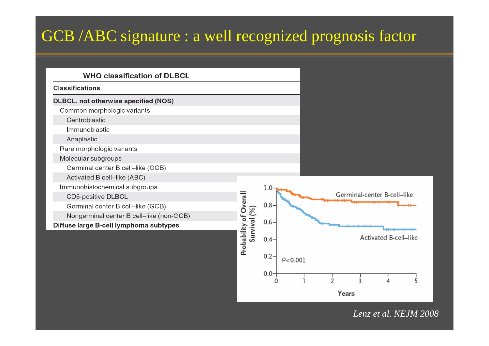# GCB /ABC signature : a well recognized prognosis factor

#### **WHO classification of DLBCL**

#### **Classifications**

#### **DLBCL, not otherwise specified (NOS)**

Common morphologic variants

Centroblastic

Immunoblastic

Anaplastic

Rare morphologic variants

Molecular subgroups

Germinal center B cell-like (GCB)

Activated B cell-like (ABC)

Immunohistochemical subgroups

**CD5-positive DLBCL** 

Germinal center B cell-like (GCB)

Nongerminal center B cell-like (non-GCB)

Diffuse large B-cell lymphoma subtypes



*Lenz et al. NEJM 2008*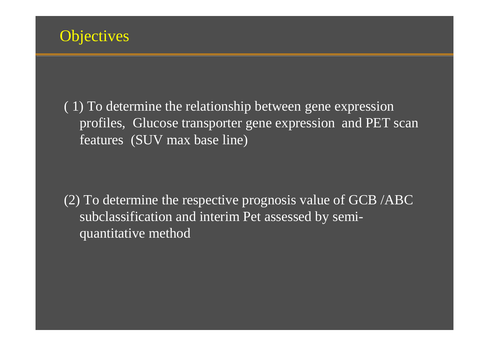

( 1) To determine the relationship between gene expression profiles, Glucose transporter gene expression and PET scan features (SUV max base line)

(2) To determine the respective prognosis value of GCB /ABC subclassification and interim Pet assessed by semiquantitative method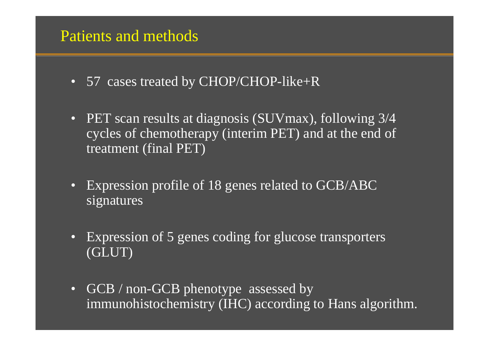## Patients and methods

- 57 cases treated by CHOP/CHOP-like+R
- PET scan results at diagnosis (SUVmax), following 3/4 cycles of chemotherapy (interim PET) and at the end of treatment (final PET)
- Expression profile of 18 genes related to GCB/ABC signatures
- Expression of 5 genes coding for glucose transporters (GLUT)
- GCB / non-GCB phenotype assessed by immunohistochemistry (IHC) according to Hans algorithm.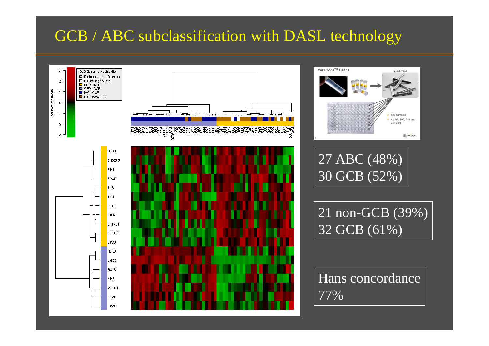# GCB / ABC subclassification with DASL technology

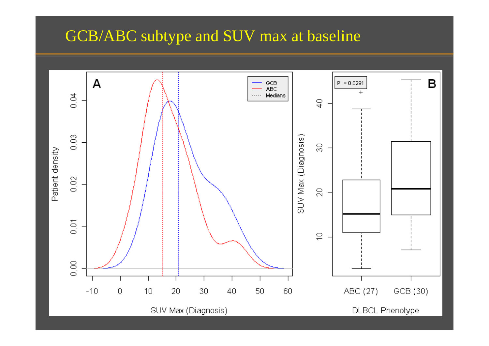# GCB/ABC subtype and SUV max at baseline

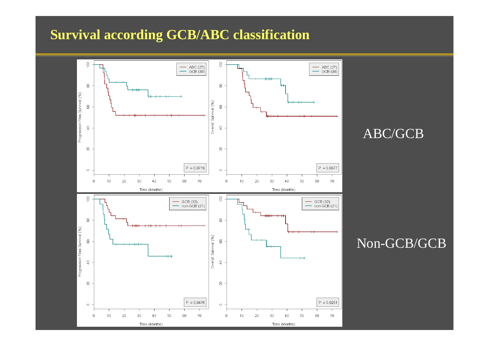## **Survival according GCB/ABC classification**



#### ABC/GCB

## Non-GCB/GCB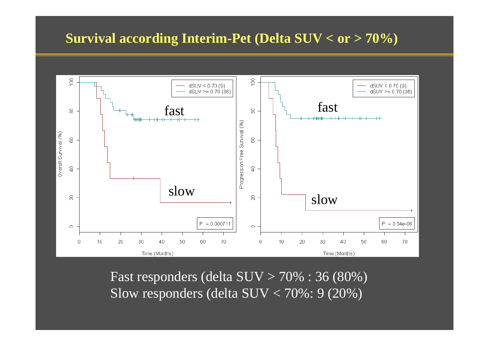### **Survival according Interim-Pet (Delta SUV < or > 70%)**



Fast responders (delta  $SUV > 70\%$ : 36 (80%) Slow responders (delta SUV < 70%: 9 (20%)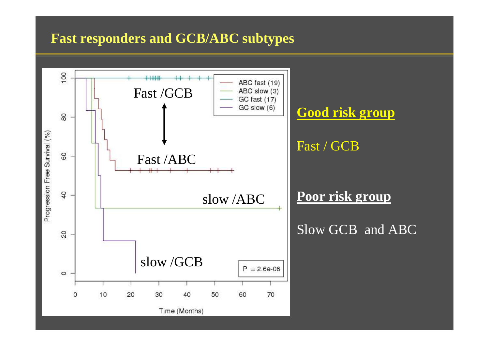### **Fast responders and GCB/ABC subtypes**

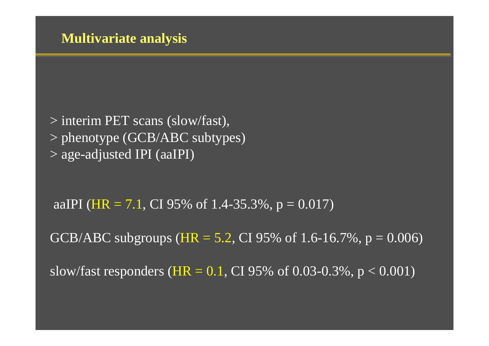> interim PET scans (slow/fast), > phenotype (GCB/ABC subtypes) > age-adjusted IPI (aaIPI)

aaIPI (HR = 7.1, CI 95% of 1.4-35.3%,  $p = 0.017$ )

GCB/ABC subgroups ( $HR = 5.2$ , CI 95% of 1.6-16.7%,  $p = 0.006$ )

slow/fast responders (HR =  $0.1$ , CI 95% of 0.03-0.3%, p < 0.001)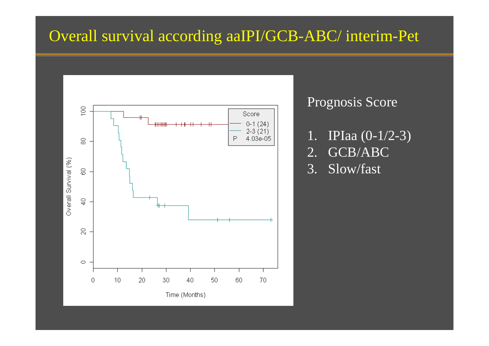# Overall survival according aaIPI/GCB-ABC/ interim-Pet



### Prognosis Score

- 1. IPIaa (0-1/2-3)
- 2. GCB/ABC
- 3. Slow/fast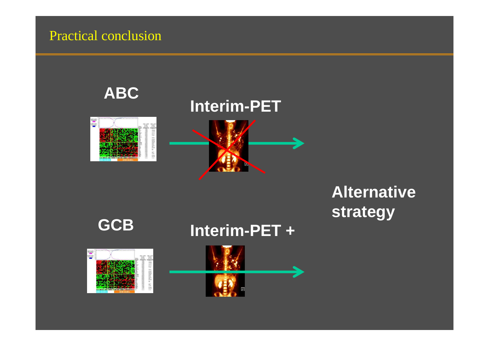## Practical conclusion